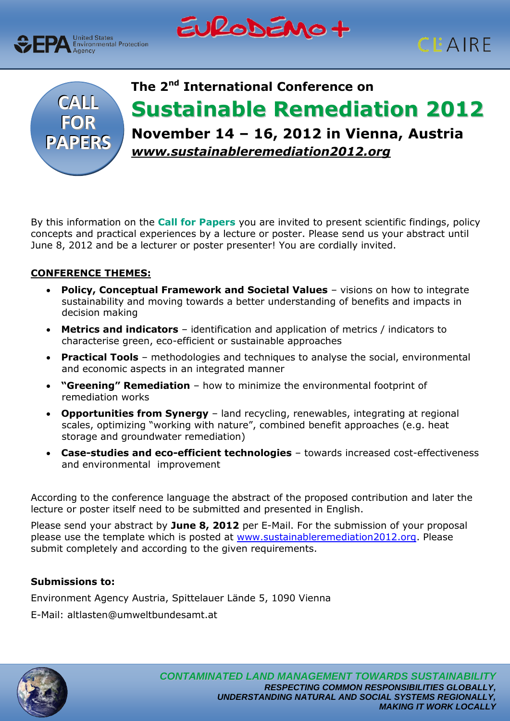







# **The 2nd International Conference on Sustainable Remediation 2012 November 14 – 16, 2012 in Vienna, Austria** *www.sustainableremediation2012.org*

By this information on the **Call for Papers** you are invited to present scientific findings, policy concepts and practical experiences by a lecture or poster. Please send us your abstract until June 8, 2012 and be a lecturer or poster presenter! You are cordially invited.

## **CONFERENCE THEMES:**

- **Policy, Conceptual Framework and Societal Values**  visions on how to integrate sustainability and moving towards a better understanding of benefits and impacts in decision making
- **Metrics and indicators**  identification and application of metrics / indicators to characterise green, eco-efficient or sustainable approaches
- **Practical Tools**  methodologies and techniques to analyse the social, environmental and economic aspects in an integrated manner
- **"Greening" Remediation** how to minimize the environmental footprint of remediation works
- **Opportunities from Synergy** land recycling, renewables, integrating at regional scales, optimizing "working with nature", combined benefit approaches (e.g. heat storage and groundwater remediation)
- **Case-studies and eco-efficient technologies** towards increased cost-effectiveness and environmental improvement

According to the conference language the abstract of the proposed contribution and later the lecture or poster itself need to be submitted and presented in English.

Please send your abstract by **June 8, 2012** per E-Mail. For the submission of your proposal please use the template which is posted at [www.sustainableremediation2012.org.](http://www.sustainableremediation2012.org/) Please submit completely and according to the given requirements.

## **Submissions to:**

Environment Agency Austria, Spittelauer Lände 5, 1090 Vienna

E-Mail: altlasten@umweltbundesamt.at